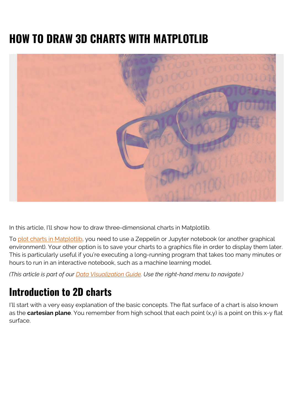# **HOW TO DRAW 3D CHARTS WITH MATPLOTLIB**



In this article, I'll show how to draw three-dimensional charts in Matplotlib.

To [plot charts in Matplotlib](https://blogs.bmc.com/blogs/matplot-charts-graphs/), you need to use a Zeppelin or Jupyter notebook (or another graphical environment). Your other option is to save your charts to a graphics file in order to display them later. This is particularly useful if you're executing a long-running program that takes too many minutes or hours to run in an interactive notebook, such as a machine learning model.

*(This article is part of our [Data Visualization Guide](https://blogs.bmc.com/blogs/data-visualization/). Use the right-hand menu to navigate.)*

## **Introduction to 2D charts**

I'll start with a very easy explanation of the basic concepts. The flat surface of a chart is also known as the **cartesian plane**. You remember from high school that each point  $(x,y)$  is a point on this x-y flat surface.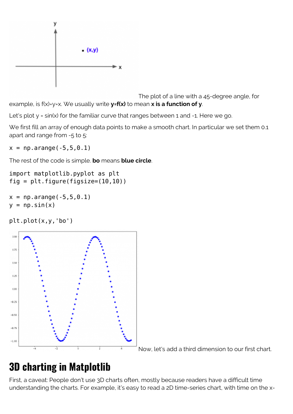

The plot of a line with a 45-degree angle, for example, is f(x)=y=x. We usually write **y=f(x)** to mean **x is a function of y**.

Let's plot  $y = sin(x)$  for the familiar curve that ranges between 1 and -1. Here we go.

We first fill an array of enough data points to make a smooth chart. In particular we set them 0.1 apart and range from -5 to 5:

 $x = np.arange(-5, 5, 0.1)$ 

The rest of the code is simple. **bo** means **blue circle**.

```
import matplotlib.pyplot as plt
fig = plt.figure(figsize=(10,10))
```

```
x = np.arange(-5, 5, 0.1)y = np.sizein(x)
```
plt.plot(x,y,'bo')



Now, let's add a third dimension to our first chart.

## **3D charting in Matplotlib**

First, a caveat: People don't use 3D charts often, mostly because readers have a difficult time understanding the charts. For example, it's easy to read a 2D time-series chart, with time on the x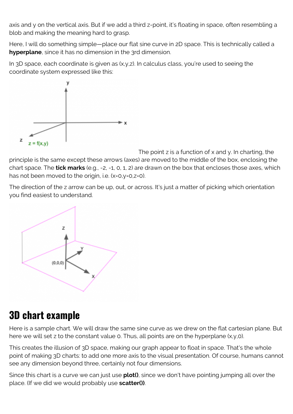axis and y on the vertical axis. But if we add a third z-point, it's floating in space, often resembling a blob and making the meaning hard to grasp.

Here, I will do something simple—place our flat sine curve in 2D space. This is technically called a **hyperplane**, since it has no dimension in the 3rd dimension.

In 3D space, each coordinate is given as (x,y,z). In calculus class, you're used to seeing the coordinate system expressed like this:



The point  $z$  is a function of  $x$  and  $y$ . In charting, the principle is the same except these arrows (axes) are moved to the middle of the box, enclosing the chart space. The **tick marks** (e.g., -2, -1, 0, 1, 2) are drawn on the box that encloses those axes, which has not been moved to the origin, i.e. (x=0,y=0,z=0).

The direction of the z arrow can be up, out, or across. It's just a matter of picking which orientation you find easiest to understand.



## **3D chart example**

Here is a sample chart. We will draw the same sine curve as we drew on the flat cartesian plane. But here we will set z to the constant value 0. Thus, all points are on the hyperplane  $(x,y,0)$ .

This creates the illusion of 3D space, making our graph appear to float in space. That's the whole point of making 3D charts: to add one more axis to the visual presentation. Of course, humans cannot see any dimension beyond three, certainly not four dimensions.

Since this chart is a curve we can just use **plot()**, since we don't have pointing jumping all over the place. (If we did we would probably use **scatter())**.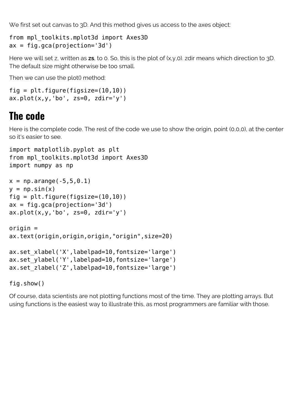We first set out canvas to 3D. And this method gives us access to the axes object:

```
from mpl_toolkits.mplot3d import Axes3D
ax = fig.gca(projection='3d')
```
Here we will set z, written as **zs**, to 0. So, this is the plot of (x,y,0). zdir means which direction to 3D. The default size might otherwise be too small.

Then we can use the plot() method:

```
fig = plt.findure(figsize=(10,10))ax.plot(x,y,'bo', zs=0, zdir='y')
```
#### **The code**

Here is the complete code. The rest of the code we use to show the origin, point (0,0,0), at the center so it's easier to see.

```
import matplotlib.pyplot as plt
from mpl_toolkits.mplot3d import Axes3D
import numpy as np
x = np.arange(-5, 5, 0.1)y = np.sizein(x)fig = plt.figure(figsize=(10,10))ax = fig.gca(projection='3d')ax.plot(x,y,'bo', zs=0, zdir='y')origin =
ax.text(origin,origin,origin,"origin",size=20)
ax.set_xlabel('X',labelpad=10,fontsize='large')
ax.set_ylabel('Y',labelpad=10,fontsize='large')
ax.set_zlabel('Z',labelpad=10,fontsize='large')
```
fig.show()

Of course, data scientists are not plotting functions most of the time. They are plotting arrays. But using functions is the easiest way to illustrate this, as most programmers are familiar with those.